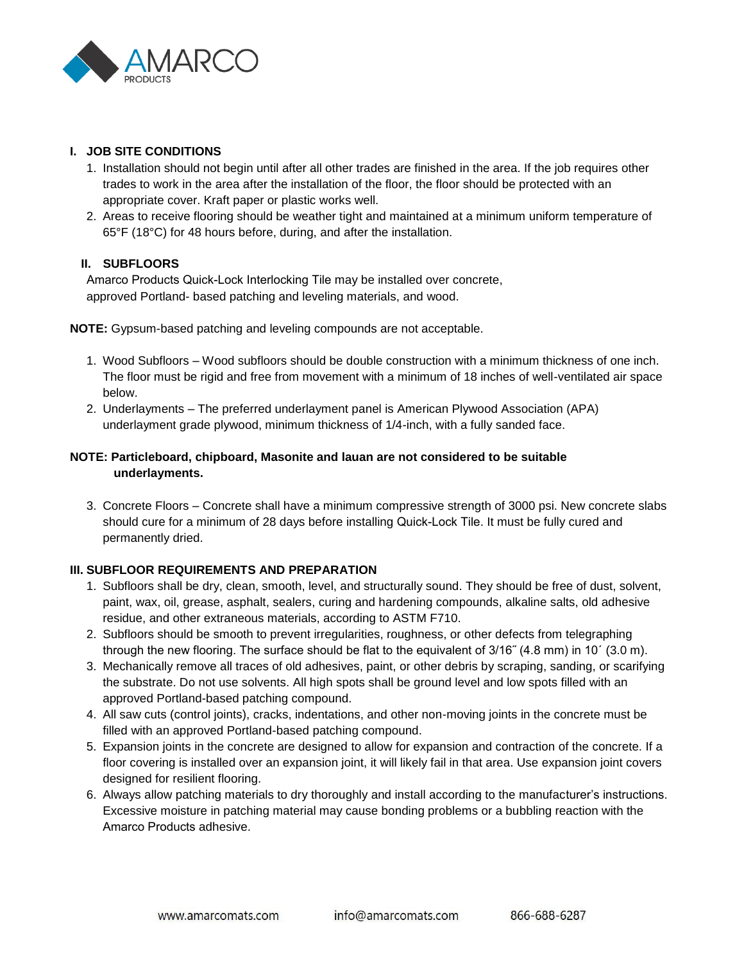

### **I. JOB SITE CONDITIONS**

- 1. Installation should not begin until after all other trades are finished in the area. If the job requires other trades to work in the area after the installation of the floor, the floor should be protected with an appropriate cover. Kraft paper or plastic works well.
- 2. Areas to receive flooring should be weather tight and maintained at a minimum uniform temperature of 65°F (18°C) for 48 hours before, during, and after the installation.

## **II. SUBFLOORS**

approved Portland- based patching and leveling materials, and wood. Amarco Products Quick-Lock Interlocking Tile may be installed over concrete,

**NOTE:** Gypsum-based patching and leveling compounds are not acceptable.

- 1. Wood Subfloors Wood subfloors should be double construction with a minimum thickness of one inch. The floor must be rigid and free from movement with a minimum of 18 inches of well-ventilated air space below.
- 2. Underlayments The preferred underlayment panel is American Plywood Association (APA) underlayment grade plywood, minimum thickness of 1/4-inch, with a fully sanded face.

# **NOTE: Particleboard, chipboard, Masonite and lauan are not considered to be suitable underlayments.**

3. Concrete Floors – Concrete shall have a minimum compressive strength of 3000 psi. New concrete slabs should cure for a minimum of 28 days before installing Quick-Lock Tile. It must be fully cured and permanently dried.

## **III. SUBFLOOR REQUIREMENTS AND PREPARATION**

- 1. Subfloors shall be dry, clean, smooth, level, and structurally sound. They should be free of dust, solvent, paint, wax, oil, grease, asphalt, sealers, curing and hardening compounds, alkaline salts, old adhesive residue, and other extraneous materials, according to ASTM F710.
- 2. Subfloors should be smooth to prevent irregularities, roughness, or other defects from telegraphing through the new flooring. The surface should be flat to the equivalent of 3/16˝ (4.8 mm) in 10´ (3.0 m).
- 3. Mechanically remove all traces of old adhesives, paint, or other debris by scraping, sanding, or scarifying the substrate. Do not use solvents. All high spots shall be ground level and low spots filled with an approved Portland-based patching compound.
- 4. All saw cuts (control joints), cracks, indentations, and other non-moving joints in the concrete must be filled with an approved Portland-based patching compound.
- 5. Expansion joints in the concrete are designed to allow for expansion and contraction of the concrete. If a floor covering is installed over an expansion joint, it will likely fail in that area. Use expansion joint covers designed for resilient flooring.
- 6. Always allow patching materials to dry thoroughly and install according to the manufacturer's instructions. Excessive moisture in patching material may cause bonding problems or a bubbling reaction with the Amarco Products adhesive.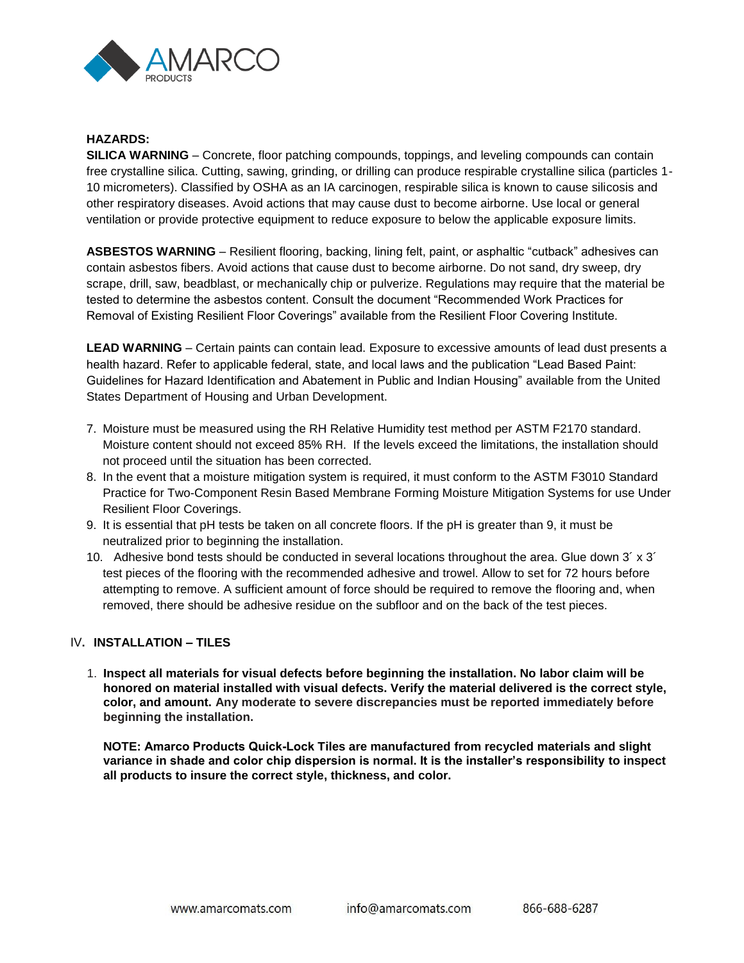

#### **HAZARDS:**

**SILICA WARNING** – Concrete, floor patching compounds, toppings, and leveling compounds can contain free crystalline silica. Cutting, sawing, grinding, or drilling can produce respirable crystalline silica (particles 1- 10 micrometers). Classified by OSHA as an IA carcinogen, respirable silica is known to cause silicosis and other respiratory diseases. Avoid actions that may cause dust to become airborne. Use local or general ventilation or provide protective equipment to reduce exposure to below the applicable exposure limits.

**ASBESTOS WARNING** – Resilient flooring, backing, lining felt, paint, or asphaltic "cutback" adhesives can contain asbestos fibers. Avoid actions that cause dust to become airborne. Do not sand, dry sweep, dry scrape, drill, saw, beadblast, or mechanically chip or pulverize. Regulations may require that the material be tested to determine the asbestos content. Consult the document "Recommended Work Practices for Removal of Existing Resilient Floor Coverings" available from the Resilient Floor Covering Institute.

**LEAD WARNING** – Certain paints can contain lead. Exposure to excessive amounts of lead dust presents a health hazard. Refer to applicable federal, state, and local laws and the publication "Lead Based Paint: Guidelines for Hazard Identification and Abatement in Public and Indian Housing" available from the United States Department of Housing and Urban Development.

- 7. Moisture must be measured using the RH Relative Humidity test method per ASTM F2170 standard. Moisture content should not exceed 85% RH. If the levels exceed the limitations, the installation should not proceed until the situation has been corrected.
- 8. In the event that a moisture mitigation system is required, it must conform to the ASTM F3010 Standard Practice for Two-Component Resin Based Membrane Forming Moisture Mitigation Systems for use Under Resilient Floor Coverings.
- 9. It is essential that pH tests be taken on all concrete floors. If the pH is greater than 9, it must be neutralized prior to beginning the installation.
- 10. Adhesive bond tests should be conducted in several locations throughout the area. Glue down  $3' \times 3'$ test pieces of the flooring with the recommended adhesive and trowel. Allow to set for 72 hours before attempting to remove. A sufficient amount of force should be required to remove the flooring and, when removed, there should be adhesive residue on the subfloor and on the back of the test pieces.

# IV**. INSTALLATION – TILES**

1. **Inspect all materials for visual defects before beginning the installation. No labor claim will be honored on material installed with visual defects. Verify the material delivered is the correct style, color, and amount. Any moderate to severe discrepancies must be reported immediately before beginning the installation.** 

**NOTE: Amarco Products Quick-Lock Tiles are manufactured from recycled materials and slight variance in shade and color chip dispersion is normal. It is the installer's responsibility to inspect all products to insure the correct style, thickness, and color.**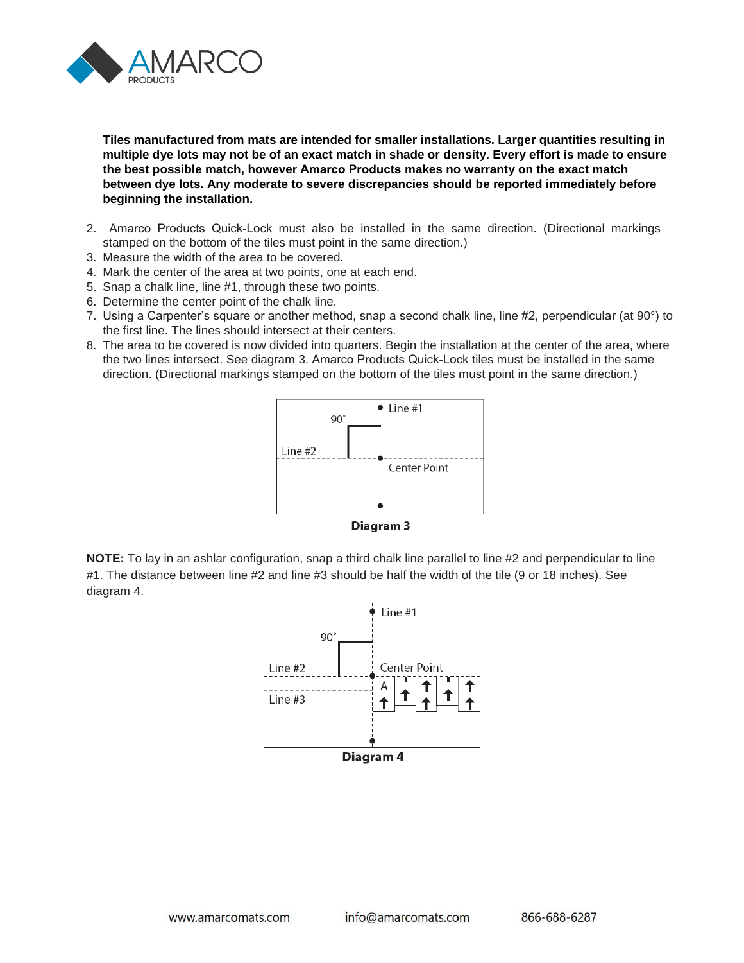

**Tiles manufactured from mats are intended for smaller installations. Larger quantities resulting in multiple dye lots may not be of an exact match in shade or density. Every effort is made to ensure the best possible match, however Amarco Products makes no warranty on the exact match between dye lots. Any moderate to severe discrepancies should be reported immediately before beginning the installation.** 

- 2. Amarco Products Quick-Lock must also be installed in the same direction. (Directional markings stamped on the bottom of the tiles must point in the same direction.)
- 3. Measure the width of the area to be covered.
- 4. Mark the center of the area at two points, one at each end.
- 5. Snap a chalk line, line #1, through these two points.
- 6. Determine the center point of the chalk line.
- 7. Using a Carpenter's square or another method, snap a second chalk line, line #2, perpendicular (at 90°) to the first line. The lines should intersect at their centers.
- 8. The area to be covered is now divided into quarters. Begin the installation at the center of the area, where the two lines intersect. See diagram 3. Amarco Products Quick-Lock tiles must be installed in the same direction. (Directional markings stamped on the bottom of the tiles must point in the same direction.)





**NOTE:** To lay in an ashlar configuration, snap a third chalk line parallel to line #2 and perpendicular to line #1. The distance between line #2 and line #3 should be half the width of the tile (9 or 18 inches). See diagram 4.

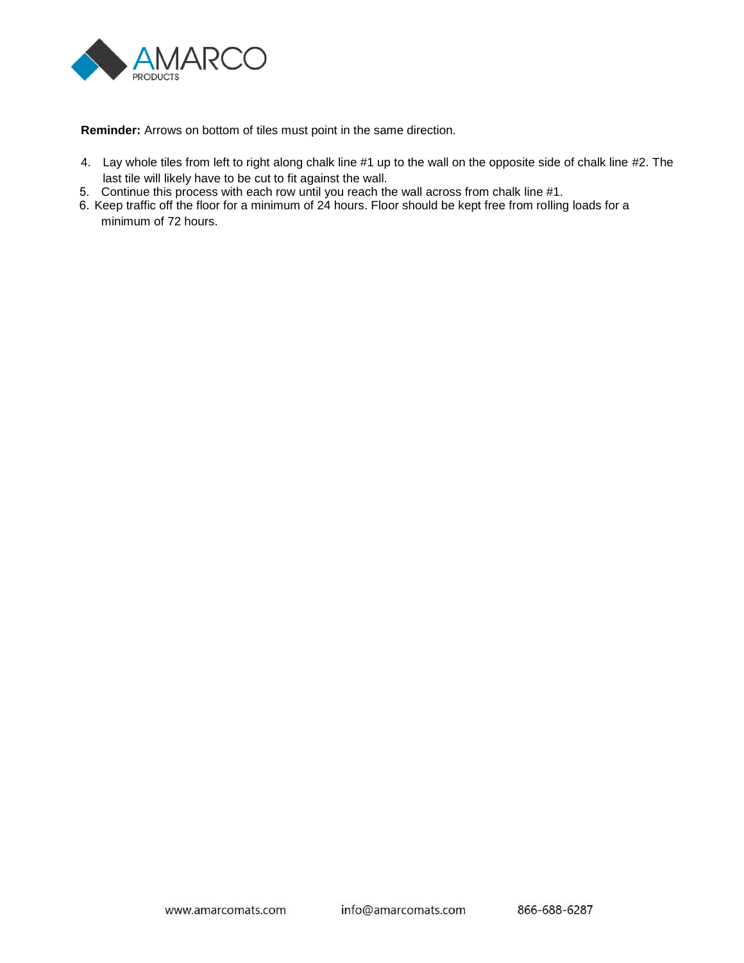

**Reminder:** Arrows on bottom of tiles must point in the same direction.

- 4. Lay whole tiles from left to right along chalk line #1 up to the wall on the opposite side of chalk line #2. The last tile will likely have to be cut to fit against the wall.
- 5. Continue this process with each row until you reach the wall across from chalk line #1.
- 6. Keep traffic off the floor for a minimum of 24 hours. Floor should be kept free from rolling loads for a minimum of 72 hours.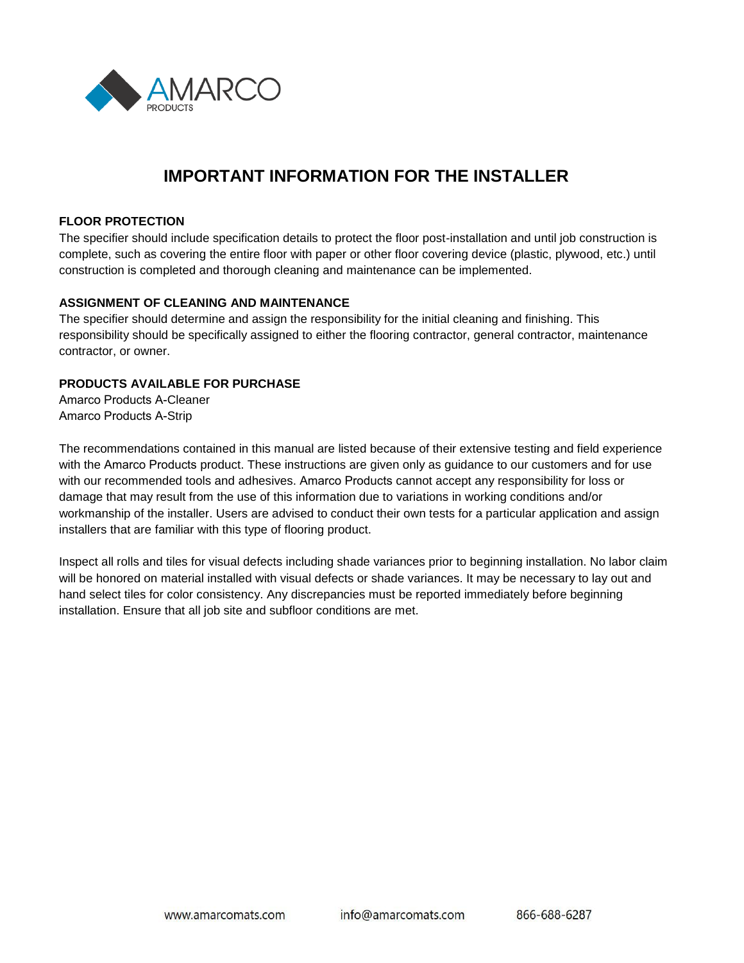

# **IMPORTANT INFORMATION FOR THE INSTALLER**

## **FLOOR PROTECTION**

The specifier should include specification details to protect the floor post-installation and until job construction is complete, such as covering the entire floor with paper or other floor covering device (plastic, plywood, etc.) until construction is completed and thorough cleaning and maintenance can be implemented.

### **ASSIGNMENT OF CLEANING AND MAINTENANCE**

The specifier should determine and assign the responsibility for the initial cleaning and finishing. This responsibility should be specifically assigned to either the flooring contractor, general contractor, maintenance contractor, or owner.

## **PRODUCTS AVAILABLE FOR PURCHASE**

Amarco Products A-Cleaner Amarco Products A-Strip

The recommendations contained in this manual are listed because of their extensive testing and field experience with the Amarco Products product. These instructions are given only as guidance to our customers and for use with our recommended tools and adhesives. Amarco Products cannot accept any responsibility for loss or damage that may result from the use of this information due to variations in working conditions and/or workmanship of the installer. Users are advised to conduct their own tests for a particular application and assign installers that are familiar with this type of flooring product.

Inspect all rolls and tiles for visual defects including shade variances prior to beginning installation. No labor claim will be honored on material installed with visual defects or shade variances. It may be necessary to lay out and hand select tiles for color consistency. Any discrepancies must be reported immediately before beginning installation. Ensure that all job site and subfloor conditions are met.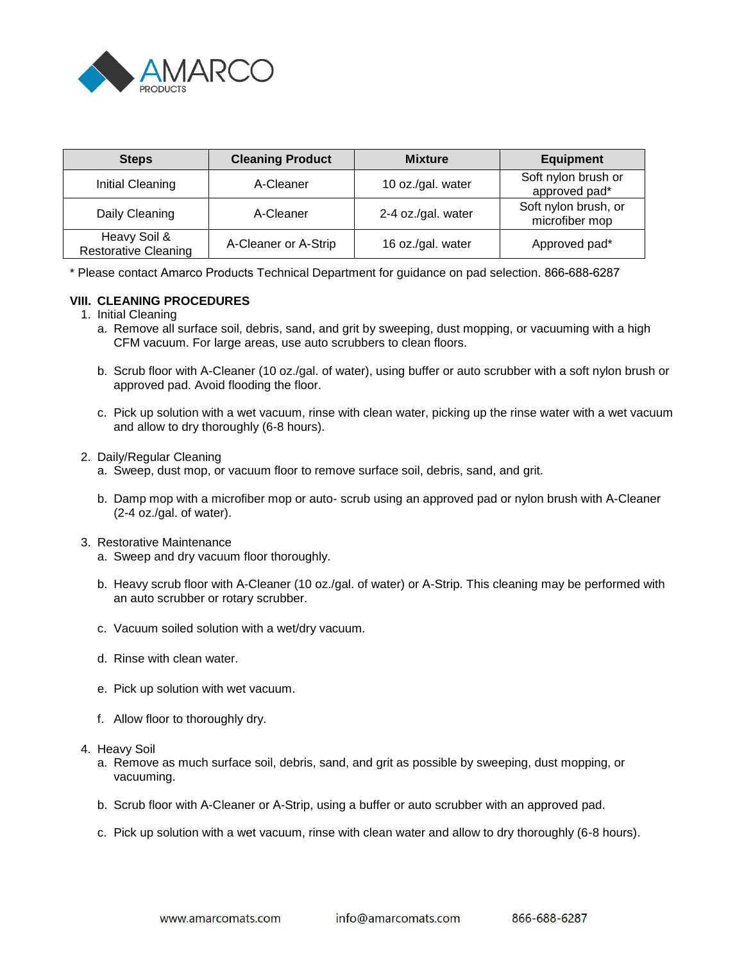

| <b>Steps</b>                                | <b>Cleaning Product</b> | <b>Mixture</b>     | <b>Equipment</b>                       |
|---------------------------------------------|-------------------------|--------------------|----------------------------------------|
| Initial Cleaning                            | A-Cleaner               | 10 oz./gal. water  | Soft nylon brush or<br>approved pad*   |
| Daily Cleaning                              | A-Cleaner               | 2-4 oz./gal. water | Soft nylon brush, or<br>microfiber mop |
| Heavy Soil &<br><b>Restorative Cleaning</b> | A-Cleaner or A-Strip    | 16 oz./gal. water  | Approved pad*                          |

\* Please contact Amarco Products Technical Department for guidance on pad selection. 866-688-6287

## **VIII. CLEANING PROCEDURES**

- 1. Initial Cleaning
	- a. Remove all surface soil, debris, sand, and grit by sweeping, dust mopping, or vacuuming with a high CFM vacuum. For large areas, use auto scrubbers to clean floors.
	- b. Scrub floor with A-Cleaner (10 oz./gal. of water), using buffer or auto scrubber with a soft nylon brush or approved pad. Avoid flooding the floor.
	- c. Pick up solution with a wet vacuum, rinse with clean water, picking up the rinse water with a wet vacuum and allow to dry thoroughly (6-8 hours).
- 2. Daily/Regular Cleaning
	- a. Sweep, dust mop, or vacuum floor to remove surface soil, debris, sand, and grit.
	- (2-4 oz./gal. of water). b. Damp mop with a microfiber mop or auto- scrub using an approved pad or nylon brush with A-Cleaner
- 3. Restorative Maintenance
	- a. Sweep and dry vacuum floor thoroughly.
	- an auto scrubber or rotary scrubber. b. Heavy scrub floor with A-Cleaner (10 oz./gal. of water) or A-Strip. This cleaning may be performed with
	- c. Vacuum soiled solution with a wet/dry vacuum.
	- d. Rinse with clean water.
	- e. Pick up solution with wet vacuum.
	- f. Allow floor to thoroughly dry.
- 4. Heavy Soil
	- a. Remove as much surface soil, debris, sand, and grit as possible by sweeping, dust mopping, or vacuuming.
	- b. Scrub floor with A-Cleaner or A-Strip, using a buffer or auto scrubber with an approved pad.
	- c. Pick up solution with a wet vacuum, rinse with clean water and allow to dry thoroughly (6-8 hours).